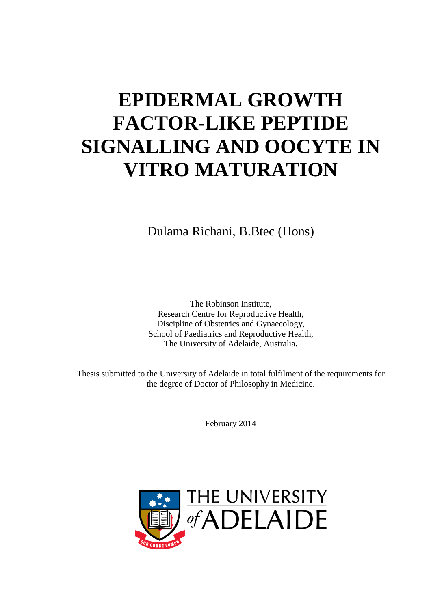# **EPIDERMAL GROWTH FACTOR-LIKE PEPTIDE SIGNALLING AND OOCYTE IN VITRO MATURATION**

Dulama Richani, B.Btec (Hons)

The Robinson Institute, Research Centre for Reproductive Health, Discipline of Obstetrics and Gynaecology, School of Paediatrics and Reproductive Health, The University of Adelaide, Australia**.**

Thesis submitted to the University of Adelaide in total fulfilment of the requirements for the degree of Doctor of Philosophy in Medicine.

February 2014

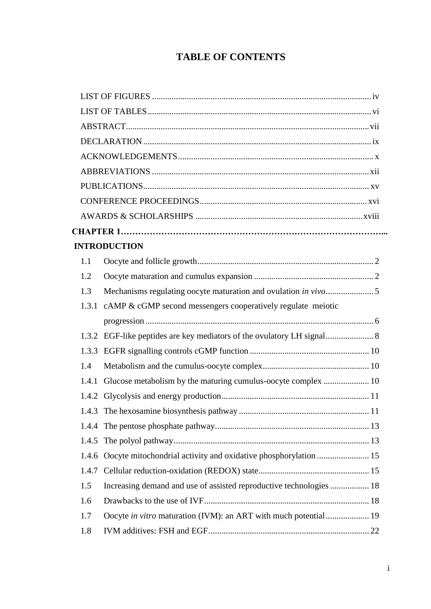# **TABLE OF CONTENTS**

|       | <b>INTRODUCTION</b>                                                    |  |  |
|-------|------------------------------------------------------------------------|--|--|
| 1.1   |                                                                        |  |  |
| 1.2   |                                                                        |  |  |
| 1.3   |                                                                        |  |  |
|       | 1.3.1 cAMP & cGMP second messengers cooperatively regulate meiotic     |  |  |
|       |                                                                        |  |  |
|       | 1.3.2 EGF-like peptides are key mediators of the ovulatory LH signal 8 |  |  |
|       |                                                                        |  |  |
| 1.4   |                                                                        |  |  |
| 1.4.1 |                                                                        |  |  |
|       |                                                                        |  |  |
|       |                                                                        |  |  |
|       |                                                                        |  |  |
|       |                                                                        |  |  |
| 1.4.6 | Oocyte mitochondrial activity and oxidative phosphorylation  15        |  |  |
| 1.4.7 |                                                                        |  |  |
| 1.5   | Increasing demand and use of assisted reproductive technologies  18    |  |  |
| 1.6   |                                                                        |  |  |
| 1.7   | Oocyte in vitro maturation (IVM): an ART with much potential 19        |  |  |
| 1.8   |                                                                        |  |  |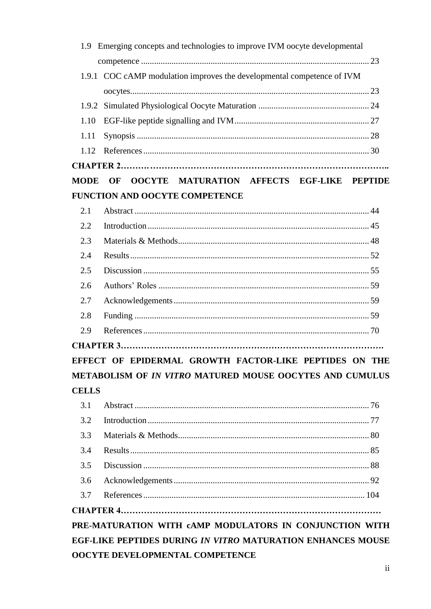|              | 1.9 Emerging concepts and technologies to improve IVM oocyte developmental |  |
|--------------|----------------------------------------------------------------------------|--|
|              |                                                                            |  |
|              | 1.9.1 COC cAMP modulation improves the developmental competence of IVM     |  |
|              |                                                                            |  |
|              |                                                                            |  |
| 1.10         |                                                                            |  |
| 1.11         |                                                                            |  |
| 1.12         |                                                                            |  |
|              |                                                                            |  |
| <b>MODE</b>  | OOCYTE MATURATION AFFECTS EGF-LIKE PEPTIDE<br>OF                           |  |
|              | <b>FUNCTION AND OOCYTE COMPETENCE</b>                                      |  |
| 2.1          |                                                                            |  |
| 2.2          |                                                                            |  |
| 2.3          |                                                                            |  |
| 2.4          |                                                                            |  |
| 2.5          |                                                                            |  |
| 2.6          |                                                                            |  |
| 2.7          |                                                                            |  |
| 2.8          |                                                                            |  |
| 2.9          |                                                                            |  |
|              |                                                                            |  |
|              | EFFECT OF EPIDERMAL GROWTH FACTOR-LIKE PEPTIDES ON THE                     |  |
|              | METABOLISM OF IN VITRO MATURED MOUSE OOCYTES AND CUMULUS                   |  |
| <b>CELLS</b> |                                                                            |  |
| 3.1          |                                                                            |  |
| 3.2          |                                                                            |  |
| 3.3          |                                                                            |  |
| 3.4          |                                                                            |  |
| 3.5          |                                                                            |  |
| 3.6          |                                                                            |  |
| 3.7          |                                                                            |  |
|              |                                                                            |  |
|              | PRE-MATURATION WITH CAMP MODULATORS IN CONJUNCTION WITH                    |  |
|              | EGF-LIKE PEPTIDES DURING IN VITRO MATURATION ENHANCES MOUSE                |  |
|              | OOCYTE DEVELOPMENTAL COMPETENCE                                            |  |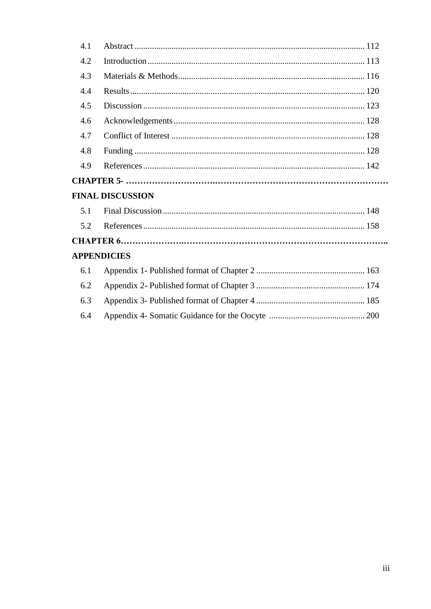| 4.1 |                         |
|-----|-------------------------|
| 4.2 |                         |
| 4.3 |                         |
| 4.4 |                         |
| 4.5 |                         |
| 4.6 |                         |
| 4.7 |                         |
| 4.8 |                         |
| 4.9 |                         |
|     |                         |
|     | <b>FINAL DISCUSSION</b> |
| 5.1 |                         |
| 5.2 |                         |
|     |                         |
|     | <b>APPENDICIES</b>      |
| 6.1 |                         |
| 6.2 |                         |
| 6.3 |                         |
| 6.4 |                         |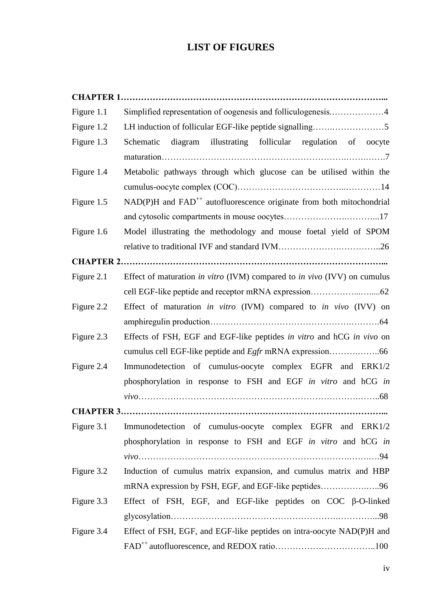# **LIST OF FIGURES**

| Figure 1.1 |                                                                                        |
|------------|----------------------------------------------------------------------------------------|
| Figure 1.2 |                                                                                        |
| Figure 1.3 | diagram illustrating follicular regulation of oocyte<br>Schematic                      |
|            |                                                                                        |
| Figure 1.4 | Metabolic pathways through which glucose can be utilised within the                    |
|            |                                                                                        |
| Figure 1.5 | $NAD(P)H$ and $FAD^{++}$ autofluorescence originate from both mitochondrial            |
|            |                                                                                        |
| Figure 1.6 | Model illustrating the methodology and mouse foetal yield of SPOM                      |
|            |                                                                                        |
|            |                                                                                        |
| Figure 2.1 | Effect of maturation <i>in vitro</i> (IVM) compared to <i>in vivo</i> (IVV) on cumulus |
|            |                                                                                        |
| Figure 2.2 | Effect of maturation in vitro (IVM) compared to in vivo (IVV) on                       |
|            |                                                                                        |
| Figure 2.3 | Effects of FSH, EGF and EGF-like peptides in vitro and hCG in vivo on                  |
|            |                                                                                        |
| Figure 2.4 | Immunodetection of cumulus-oocyte complex EGFR and ERK1/2                              |
|            | phosphorylation in response to FSH and EGF in vitro and hCG in                         |
|            |                                                                                        |
|            |                                                                                        |
| Figure 3.1 | Immunodetection of cumulus-oocyte complex EGFR and ERK1/2                              |
|            | phosphorylation in response to FSH and EGF in vitro and hCG in                         |
|            |                                                                                        |
| Figure 3.2 | Induction of cumulus matrix expansion, and cumulus matrix and HBP                      |
|            |                                                                                        |
| Figure 3.3 | Effect of FSH, EGF, and EGF-like peptides on COC $\beta$ -O-linked                     |
|            |                                                                                        |
| Figure 3.4 | Effect of FSH, EGF, and EGF-like peptides on intra-oocyte NAD(P)H and                  |
|            |                                                                                        |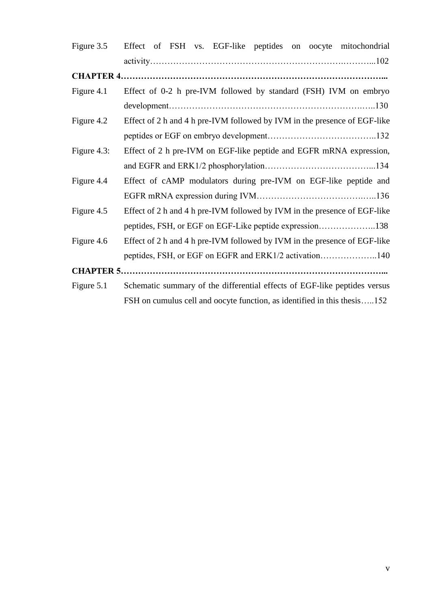| Figure 3.5  | Effect of FSH vs. EGF-like peptides on oocyte mitochondrial               |
|-------------|---------------------------------------------------------------------------|
|             |                                                                           |
|             |                                                                           |
| Figure 4.1  | Effect of 0-2 h pre-IVM followed by standard (FSH) IVM on embryo          |
|             |                                                                           |
| Figure 4.2  | Effect of 2 h and 4 h pre-IVM followed by IVM in the presence of EGF-like |
|             |                                                                           |
| Figure 4.3: | Effect of 2 h pre-IVM on EGF-like peptide and EGFR mRNA expression,       |
|             |                                                                           |
| Figure 4.4  | Effect of cAMP modulators during pre-IVM on EGF-like peptide and          |
|             |                                                                           |
| Figure 4.5  | Effect of 2 h and 4 h pre-IVM followed by IVM in the presence of EGF-like |
|             | peptides, FSH, or EGF on EGF-Like peptide expression138                   |
| Figure 4.6  | Effect of 2 h and 4 h pre-IVM followed by IVM in the presence of EGF-like |
|             | peptides, FSH, or EGF on EGFR and ERK1/2 activation140                    |
|             |                                                                           |
| Figure 5.1  | Schematic summary of the differential effects of EGF-like peptides versus |
|             | FSH on cumulus cell and oocyte function, as identified in this thesis152  |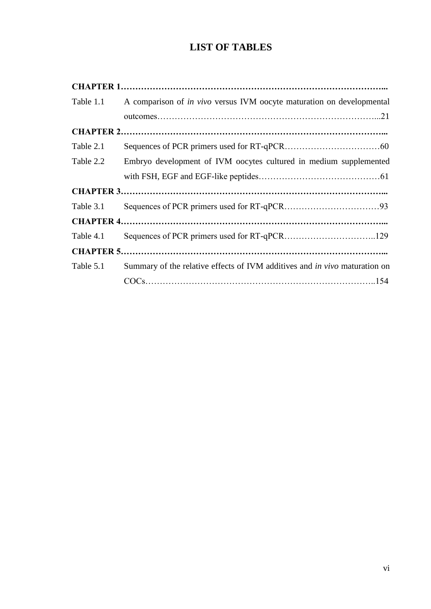# **LIST OF TABLES**

| Table 1.1 | A comparison of <i>in vivo</i> versus IVM oocyte maturation on developmental      |
|-----------|-----------------------------------------------------------------------------------|
|           |                                                                                   |
|           |                                                                                   |
| Table 2.1 |                                                                                   |
| Table 2.2 | Embryo development of IVM oocytes cultured in medium supplemented                 |
|           |                                                                                   |
|           |                                                                                   |
| Table 3.1 |                                                                                   |
|           |                                                                                   |
| Table 4.1 |                                                                                   |
|           |                                                                                   |
| Table 5.1 | Summary of the relative effects of IVM additives and <i>in vivo</i> maturation on |
|           |                                                                                   |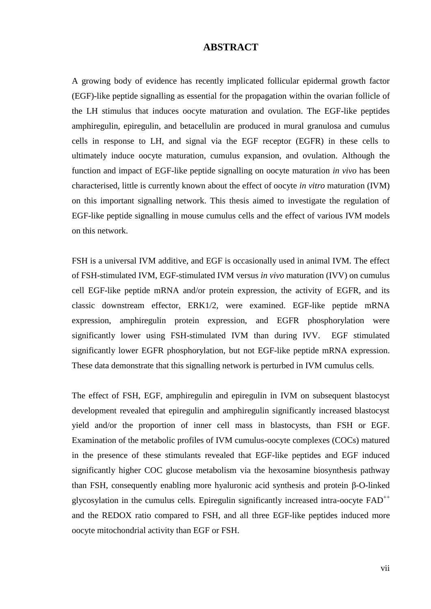## **ABSTRACT**

A growing body of evidence has recently implicated follicular epidermal growth factor (EGF)-like peptide signalling as essential for the propagation within the ovarian follicle of the LH stimulus that induces oocyte maturation and ovulation. The EGF-like peptides amphiregulin, epiregulin, and betacellulin are produced in mural granulosa and cumulus cells in response to LH, and signal via the EGF receptor (EGFR) in these cells to ultimately induce oocyte maturation, cumulus expansion, and ovulation. Although the function and impact of EGF-like peptide signalling on oocyte maturation *in vivo* has been characterised, little is currently known about the effect of oocyte *in vitro* maturation (IVM) on this important signalling network. This thesis aimed to investigate the regulation of EGF-like peptide signalling in mouse cumulus cells and the effect of various IVM models on this network.

FSH is a universal IVM additive, and EGF is occasionally used in animal IVM. The effect of FSH-stimulated IVM, EGF-stimulated IVM versus *in vivo* maturation (IVV) on cumulus cell EGF-like peptide mRNA and/or protein expression, the activity of EGFR, and its classic downstream effector, ERK1/2, were examined. EGF-like peptide mRNA expression, amphiregulin protein expression, and EGFR phosphorylation were significantly lower using FSH-stimulated IVM than during IVV. EGF stimulated significantly lower EGFR phosphorylation, but not EGF-like peptide mRNA expression. These data demonstrate that this signalling network is perturbed in IVM cumulus cells.

The effect of FSH, EGF, amphiregulin and epiregulin in IVM on subsequent blastocyst development revealed that epiregulin and amphiregulin significantly increased blastocyst yield and/or the proportion of inner cell mass in blastocysts, than FSH or EGF. Examination of the metabolic profiles of IVM cumulus-oocyte complexes (COCs) matured in the presence of these stimulants revealed that EGF-like peptides and EGF induced significantly higher COC glucose metabolism via the hexosamine biosynthesis pathway than FSH, consequently enabling more hyaluronic acid synthesis and protein β-O-linked glycosylation in the cumulus cells. Epiregulin significantly increased intra-oocyte  $FAD^{++}$ and the REDOX ratio compared to FSH, and all three EGF-like peptides induced more oocyte mitochondrial activity than EGF or FSH.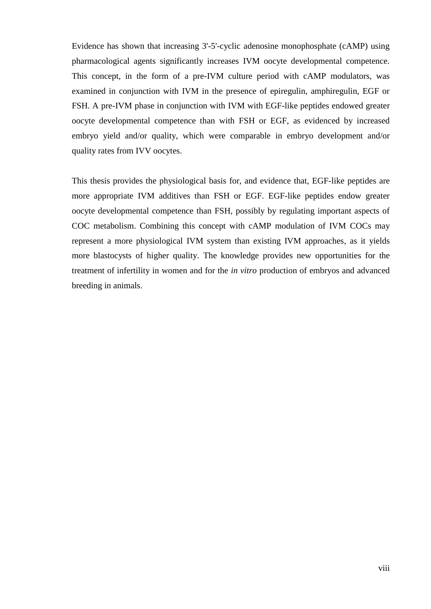Evidence has shown that increasing 3'-5'-cyclic adenosine monophosphate (cAMP) using pharmacological agents significantly increases IVM oocyte developmental competence. This concept, in the form of a pre-IVM culture period with cAMP modulators, was examined in conjunction with IVM in the presence of epiregulin, amphiregulin, EGF or FSH. A pre-IVM phase in conjunction with IVM with EGF-like peptides endowed greater oocyte developmental competence than with FSH or EGF, as evidenced by increased embryo yield and/or quality, which were comparable in embryo development and/or quality rates from IVV oocytes.

This thesis provides the physiological basis for, and evidence that, EGF-like peptides are more appropriate IVM additives than FSH or EGF. EGF-like peptides endow greater oocyte developmental competence than FSH, possibly by regulating important aspects of COC metabolism. Combining this concept with cAMP modulation of IVM COCs may represent a more physiological IVM system than existing IVM approaches, as it yields more blastocysts of higher quality. The knowledge provides new opportunities for the treatment of infertility in women and for the *in vitro* production of embryos and advanced breeding in animals.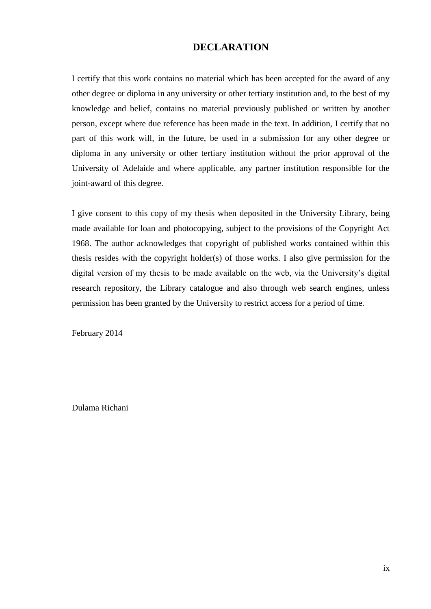## **DECLARATION**

I certify that this work contains no material which has been accepted for the award of any other degree or diploma in any university or other tertiary institution and, to the best of my knowledge and belief, contains no material previously published or written by another person, except where due reference has been made in the text. In addition, I certify that no part of this work will, in the future, be used in a submission for any other degree or diploma in any university or other tertiary institution without the prior approval of the University of Adelaide and where applicable, any partner institution responsible for the joint-award of this degree.

I give consent to this copy of my thesis when deposited in the University Library, being made available for loan and photocopying, subject to the provisions of the Copyright Act 1968. The author acknowledges that copyright of published works contained within this thesis resides with the copyright holder(s) of those works. I also give permission for the digital version of my thesis to be made available on the web, via the University's digital research repository, the Library catalogue and also through web search engines, unless permission has been granted by the University to restrict access for a period of time.

February 2014

Dulama Richani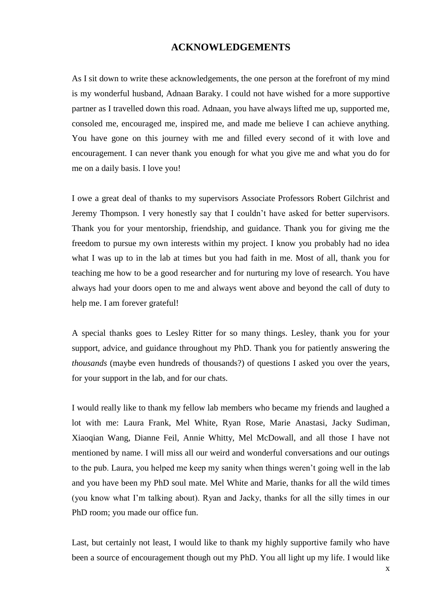#### **ACKNOWLEDGEMENTS**

As I sit down to write these acknowledgements, the one person at the forefront of my mind is my wonderful husband, Adnaan Baraky. I could not have wished for a more supportive partner as I travelled down this road. Adnaan, you have always lifted me up, supported me, consoled me, encouraged me, inspired me, and made me believe I can achieve anything. You have gone on this journey with me and filled every second of it with love and encouragement. I can never thank you enough for what you give me and what you do for me on a daily basis. I love you!

I owe a great deal of thanks to my supervisors Associate Professors Robert Gilchrist and Jeremy Thompson. I very honestly say that I couldn't have asked for better supervisors. Thank you for your mentorship, friendship, and guidance. Thank you for giving me the freedom to pursue my own interests within my project. I know you probably had no idea what I was up to in the lab at times but you had faith in me. Most of all, thank you for teaching me how to be a good researcher and for nurturing my love of research. You have always had your doors open to me and always went above and beyond the call of duty to help me. I am forever grateful!

A special thanks goes to Lesley Ritter for so many things. Lesley, thank you for your support, advice, and guidance throughout my PhD. Thank you for patiently answering the *thousands* (maybe even hundreds of thousands?) of questions I asked you over the years, for your support in the lab, and for our chats.

I would really like to thank my fellow lab members who became my friends and laughed a lot with me: Laura Frank, Mel White, Ryan Rose, Marie Anastasi, Jacky Sudiman, Xiaoqian Wang, Dianne Feil, Annie Whitty, Mel McDowall, and all those I have not mentioned by name. I will miss all our weird and wonderful conversations and our outings to the pub. Laura, you helped me keep my sanity when things weren't going well in the lab and you have been my PhD soul mate. Mel White and Marie, thanks for all the wild times (you know what I'm talking about). Ryan and Jacky, thanks for all the silly times in our PhD room; you made our office fun.

Last, but certainly not least, I would like to thank my highly supportive family who have been a source of encouragement though out my PhD. You all light up my life. I would like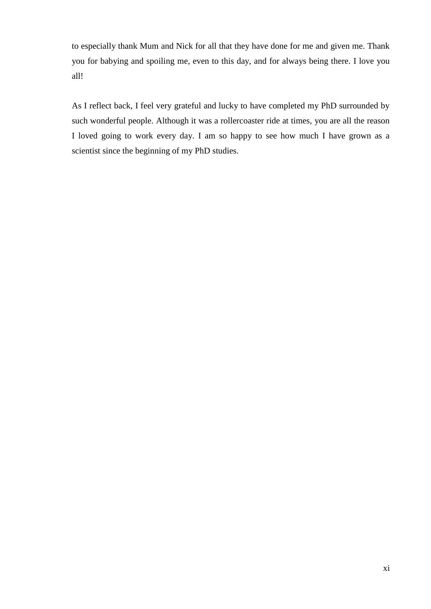to especially thank Mum and Nick for all that they have done for me and given me. Thank you for babying and spoiling me, even to this day, and for always being there. I love you all!

As I reflect back, I feel very grateful and lucky to have completed my PhD surrounded by such wonderful people. Although it was a rollercoaster ride at times, you are all the reason I loved going to work every day. I am so happy to see how much I have grown as a scientist since the beginning of my PhD studies.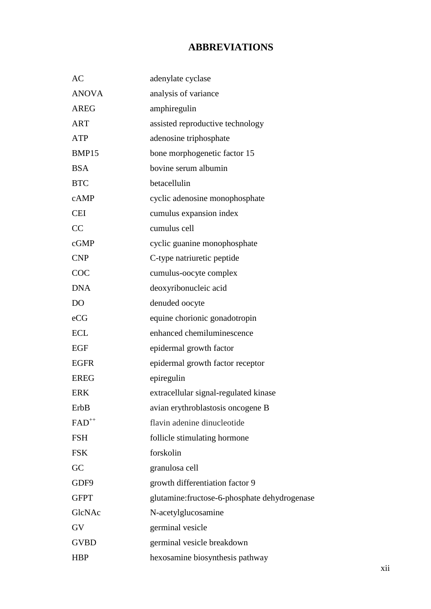# **ABBREVIATIONS**

| AC             | adenylate cyclase                             |
|----------------|-----------------------------------------------|
| <b>ANOVA</b>   | analysis of variance                          |
| <b>AREG</b>    | amphiregulin                                  |
| <b>ART</b>     | assisted reproductive technology              |
| <b>ATP</b>     | adenosine triphosphate                        |
| BMP15          | bone morphogenetic factor 15                  |
| <b>BSA</b>     | bovine serum albumin                          |
| <b>BTC</b>     | betacellulin                                  |
| cAMP           | cyclic adenosine monophosphate                |
| <b>CEI</b>     | cumulus expansion index                       |
| CC             | cumulus cell                                  |
| cGMP           | cyclic guanine monophosphate                  |
| <b>CNP</b>     | C-type natriuretic peptide                    |
| COC            | cumulus-oocyte complex                        |
| <b>DNA</b>     | deoxyribonucleic acid                         |
| D <sub>O</sub> | denuded oocyte                                |
| eCG            | equine chorionic gonadotropin                 |
| <b>ECL</b>     | enhanced chemiluminescence                    |
| EGF            | epidermal growth factor                       |
| <b>EGFR</b>    | epidermal growth factor receptor              |
| <b>EREG</b>    | epiregulin                                    |
| <b>ERK</b>     | extracellular signal-regulated kinase         |
| ErbB           | avian erythroblastosis oncogene B             |
| $FAD^{++}$     | flavin adenine dinucleotide                   |
| <b>FSH</b>     | follicle stimulating hormone                  |
| <b>FSK</b>     | forskolin                                     |
| GC             | granulosa cell                                |
| GDF9           | growth differentiation factor 9               |
| <b>GFPT</b>    | glutamine: fructose-6-phosphate dehydrogenase |
| GlcNAc         | N-acetylglucosamine                           |
| GV             | germinal vesicle                              |
| <b>GVBD</b>    | germinal vesicle breakdown                    |
| <b>HBP</b>     | hexosamine biosynthesis pathway               |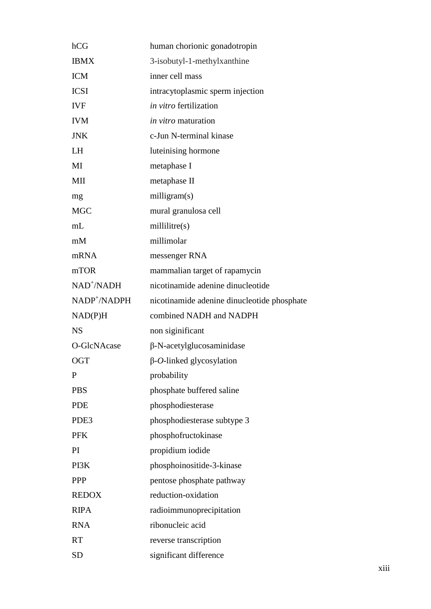| hCG                      | human chorionic gonadotropin                |
|--------------------------|---------------------------------------------|
| <b>IBMX</b>              | 3-isobutyl-1-methylxanthine                 |
| <b>ICM</b>               | inner cell mass                             |
| <b>ICSI</b>              | intracytoplasmic sperm injection            |
| <b>IVF</b>               | in vitro fertilization                      |
| <b>IVM</b>               | <i>in vitro</i> maturation                  |
| <b>JNK</b>               | c-Jun N-terminal kinase                     |
| LH                       | luteinising hormone                         |
| MI                       | metaphase I                                 |
| MII                      | metaphase II                                |
| mg                       | milligram(s)                                |
| <b>MGC</b>               | mural granulosa cell                        |
| mL                       | millitre(s)                                 |
| mM                       | millimolar                                  |
| mRNA                     | messenger RNA                               |
| mTOR                     | mammalian target of rapamycin               |
| NAD <sup>+</sup> /NADH   | nicotinamide adenine dinucleotide           |
| NADP <sup>+</sup> /NADPH | nicotinamide adenine dinucleotide phosphate |
| NAD(P)H                  | combined NADH and NADPH                     |
| <b>NS</b>                | non siginificant                            |
| O-GlcNAcase              | $\beta$ -N-acetylglucosaminidase            |
| <b>OGT</b>               | $\beta$ -O-linked glycosylation             |
| $\mathbf{P}$             | probability                                 |
| <b>PBS</b>               | phosphate buffered saline                   |
| <b>PDE</b>               | phosphodiesterase                           |
| PDE3                     | phosphodiesterase subtype 3                 |
| <b>PFK</b>               | phosphofructokinase                         |
| PI                       | propidium iodide                            |
| PI3K                     | phosphoinositide-3-kinase                   |
| <b>PPP</b>               | pentose phosphate pathway                   |
| <b>REDOX</b>             | reduction-oxidation                         |
| <b>RIPA</b>              | radioimmunoprecipitation                    |
| <b>RNA</b>               | ribonucleic acid                            |
| <b>RT</b>                | reverse transcription                       |
| <b>SD</b>                | significant difference                      |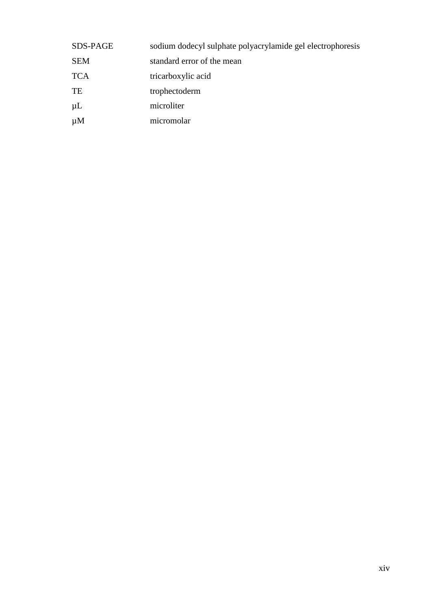| <b>SDS-PAGE</b> | sodium dodecyl sulphate polyacrylamide gel electrophoresis |
|-----------------|------------------------------------------------------------|
| <b>SEM</b>      | standard error of the mean                                 |
| <b>TCA</b>      | tricarboxylic acid                                         |
| TE              | trophectoderm                                              |
| $\mu$ L         | microliter                                                 |
| $\mu$ M         | micromolar                                                 |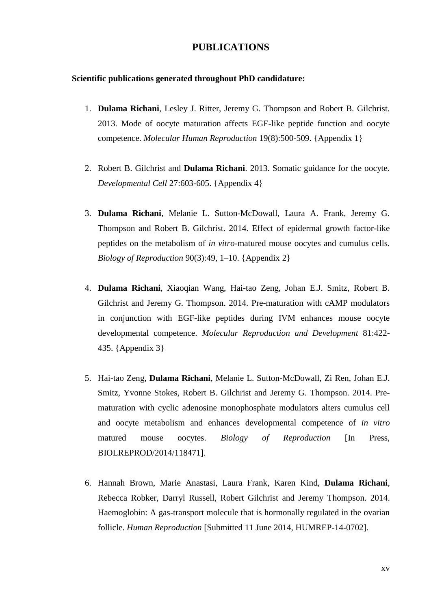#### **PUBLICATIONS**

#### **Scientific publications generated throughout PhD candidature:**

- 1. **Dulama Richani**, Lesley J. Ritter, Jeremy G. Thompson and Robert B. Gilchrist. 2013. Mode of oocyte maturation affects EGF-like peptide function and oocyte competence. *Molecular Human Reproduction* 19(8):500-509. {Appendix 1}
- 2. Robert B. Gilchrist and **Dulama Richani**. 2013. Somatic guidance for the oocyte. *Developmental Cell* 27:603-605. {Appendix 4}
- 3. **Dulama Richani**, Melanie L. Sutton-McDowall, Laura A. Frank, Jeremy G. Thompson and Robert B. Gilchrist. 2014. Effect of epidermal growth factor-like peptides on the metabolism of *in vitro*-matured mouse oocytes and cumulus cells. *Biology of Reproduction* 90(3):49, 1–10. {Appendix 2}
- 4. **Dulama Richani**, Xiaoqian Wang, Hai-tao Zeng, Johan E.J. Smitz, Robert B. Gilchrist and Jeremy G. Thompson. 2014. Pre-maturation with cAMP modulators in conjunction with EGF-like peptides during IVM enhances mouse oocyte developmental competence. *Molecular Reproduction and Development* 81:422- 435. {Appendix 3}
- 5. Hai-tao Zeng, **Dulama Richani**, Melanie L. Sutton-McDowall, Zi Ren, Johan E.J. Smitz, Yvonne Stokes*,* Robert B. Gilchrist and Jeremy G. Thompson. 2014. Prematuration with cyclic adenosine monophosphate modulators alters cumulus cell and oocyte metabolism and enhances developmental competence of *in vitro*  matured mouse oocytes. *Biology of Reproduction* [In Press, BIOLREPROD/2014/118471].
- 6. Hannah Brown, Marie Anastasi, Laura Frank, Karen Kind, **Dulama Richani**, Rebecca Robker, Darryl Russell, Robert Gilchrist and Jeremy Thompson. 2014. Haemoglobin: A gas-transport molecule that is hormonally regulated in the ovarian follicle. *Human Reproduction* [Submitted 11 June 2014, HUMREP-14-0702].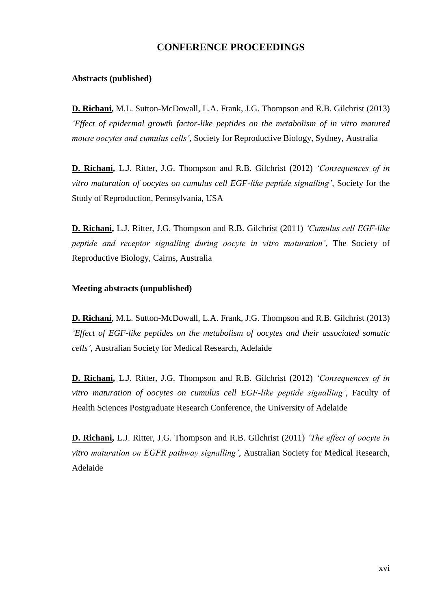## **CONFERENCE PROCEEDINGS**

#### **Abstracts (published)**

**D. Richani,** M.L. Sutton-McDowall, L.A. Frank, J.G. Thompson and R.B. Gilchrist (2013) *'Effect of epidermal growth factor-like peptides on the metabolism of in vitro matured mouse oocytes and cumulus cells'*, Society for Reproductive Biology, Sydney, Australia

**D. Richani,** L.J. Ritter, J.G. Thompson and R.B. Gilchrist (2012) *'Consequences of in vitro maturation of oocytes on cumulus cell EGF-like peptide signalling'*, Society for the Study of Reproduction, Pennsylvania, USA

**D. Richani,** L.J. Ritter, J.G. Thompson and R.B. Gilchrist (2011) *'Cumulus cell EGF-like peptide and receptor signalling during oocyte in vitro maturation'*, The Society of Reproductive Biology, Cairns, Australia

#### **Meeting abstracts (unpublished)**

**D. Richani**, M.L. Sutton-McDowall, L.A. Frank, J.G. Thompson and R.B. Gilchrist (2013) *'Effect of EGF-like peptides on the metabolism of oocytes and their associated somatic cells'*, Australian Society for Medical Research, Adelaide

**D. Richani,** L.J. Ritter, J.G. Thompson and R.B. Gilchrist (2012) *'Consequences of in vitro maturation of oocytes on cumulus cell EGF-like peptide signalling'*, Faculty of Health Sciences Postgraduate Research Conference, the University of Adelaide

**D. Richani,** L.J. Ritter, J.G. Thompson and R.B. Gilchrist (2011) *'The effect of oocyte in vitro maturation on EGFR pathway signalling'*, Australian Society for Medical Research, Adelaide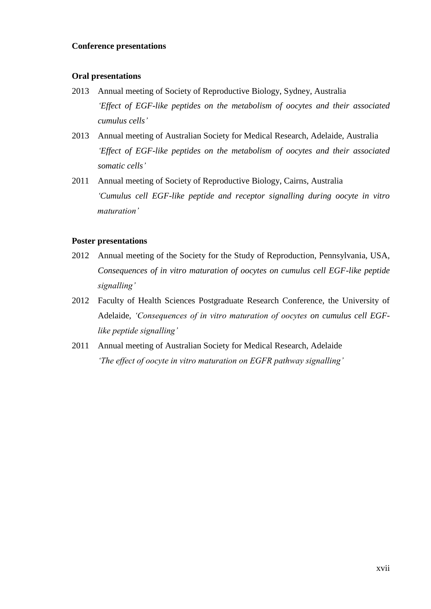#### **Conference presentations**

#### **Oral presentations**

- 2013 Annual meeting of Society of Reproductive Biology, Sydney, Australia *'Effect of EGF-like peptides on the metabolism of oocytes and their associated cumulus cells'*
- 2013 Annual meeting of Australian Society for Medical Research, Adelaide, Australia *'Effect of EGF-like peptides on the metabolism of oocytes and their associated somatic cells'*
- 2011 Annual meeting of Society of Reproductive Biology, Cairns, Australia *'Cumulus cell EGF-like peptide and receptor signalling during oocyte in vitro maturation'*

#### **Poster presentations**

- 2012 Annual meeting of the Society for the Study of Reproduction, Pennsylvania, USA, *Consequences of in vitro maturation of oocytes on cumulus cell EGF-like peptide signalling'*
- 2012 Faculty of Health Sciences Postgraduate Research Conference, the University of Adelaide, *'Consequences of in vitro maturation of oocytes on cumulus cell EGFlike peptide signalling'*
- 2011 Annual meeting of Australian Society for Medical Research, Adelaide *'The effect of oocyte in vitro maturation on EGFR pathway signalling'*